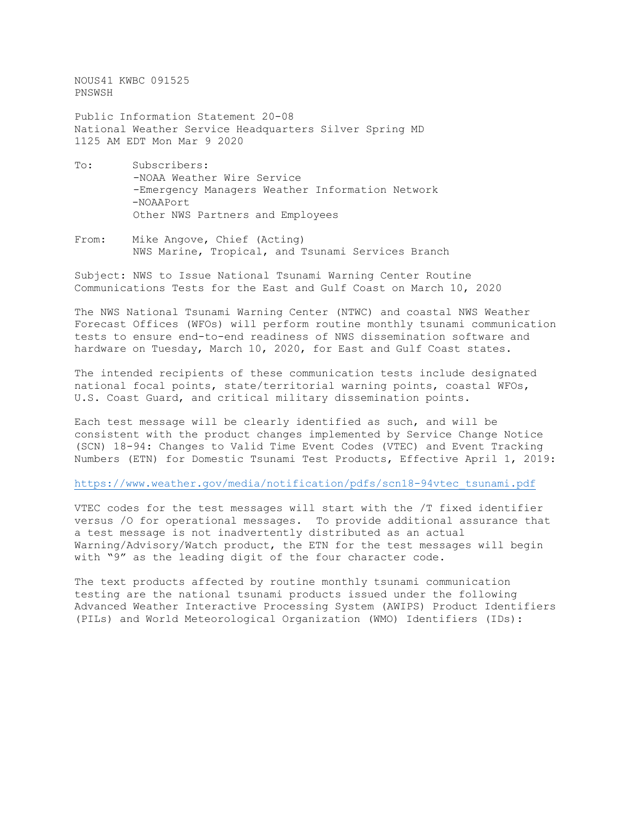NOUS41 KWBC 091525 PNSWSH

Public Information Statement 20-08 National Weather Service Headquarters Silver Spring MD 1125 AM EDT Mon Mar 9 2020

- To: Subscribers: -NOAA Weather Wire Service -Emergency Managers Weather Information Network -NOAAPort Other NWS Partners and Employees
- From: Mike Angove, Chief (Acting) NWS Marine, Tropical, and Tsunami Services Branch

Subject: NWS to Issue National Tsunami Warning Center Routine Communications Tests for the East and Gulf Coast on March 10, 2020

The NWS National Tsunami Warning Center (NTWC) and coastal NWS Weather Forecast Offices (WFOs) will perform routine monthly tsunami communication tests to ensure end-to-end readiness of NWS dissemination software and hardware on Tuesday, March 10, 2020, for East and Gulf Coast states.

The intended recipients of these communication tests include designated national focal points, state/territorial warning points, coastal WFOs, U.S. Coast Guard, and critical military dissemination points.

Each test message will be clearly identified as such, and will be consistent with the product changes implemented by Service Change Notice (SCN) 18-94: Changes to Valid Time Event Codes (VTEC) and Event Tracking Numbers (ETN) for [Domestic Tsunami Test Products, Effective April 1, 2019:](https://www.weather.gov/media/notification/pdfs/scn18-94vtec_tsunami.pdf)

[https://www.weather.gov/media/notification/pdfs/scn18-94vtec\\_tsunami.pdf](http://www.weather.gov/media/notification/pdfs/scn18-94vtec_tsunami.pdf)

VTEC codes for the test messages will start with the /T fixed identifier versus /O for operational messages. To provide additional assurance that a test message is not inadvertently distributed as an actual Warning/Advisory/Watch product, the ETN for the test messages will begin with "9" as the leading digit of the four character code.

The text products affected by routine monthly tsunami communication testing are the national tsunami products issued under the following Advanced Weather Interactive Processing System (AWIPS) Product Identifiers (PILs) and World Meteorological Organization (WMO) Identifiers (IDs):